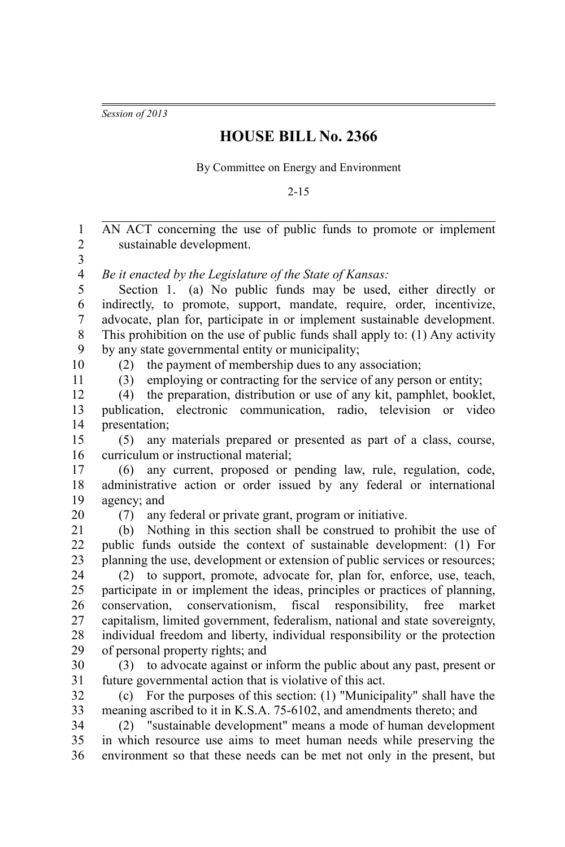*Session of 2013*

## **HOUSE BILL No. 2366**

By Committee on Energy and Environment

2-15

AN ACT concerning the use of public funds to promote or implement sustainable development. *Be it enacted by the Legislature of the State of Kansas:* Section 1. (a) No public funds may be used, either directly or indirectly, to promote, support, mandate, require, order, incentivize, advocate, plan for, participate in or implement sustainable development. This prohibition on the use of public funds shall apply to: (1) Any activity by any state governmental entity or municipality; (2) the payment of membership dues to any association; (3) employing or contracting for the service of any person or entity; (4) the preparation, distribution or use of any kit, pamphlet, booklet, publication, electronic communication, radio, television or video presentation; (5) any materials prepared or presented as part of a class, course, curriculum or instructional material; (6) any current, proposed or pending law, rule, regulation, code, administrative action or order issued by any federal or international agency; and (7) any federal or private grant, program or initiative. (b) Nothing in this section shall be construed to prohibit the use of public funds outside the context of sustainable development: (1) For planning the use, development or extension of public services or resources; (2) to support, promote, advocate for, plan for, enforce, use, teach, participate in or implement the ideas, principles or practices of planning, conservation, conservationism, fiscal responsibility, free market capitalism, limited government, federalism, national and state sovereignty, individual freedom and liberty, individual responsibility or the protection of personal property rights; and (3) to advocate against or inform the public about any past, present or future governmental action that is violative of this act. (c) For the purposes of this section: (1) "Municipality" shall have the meaning ascribed to it in K.S.A. 75-6102, and amendments thereto; and (2) "sustainable development" means a mode of human development in which resource use aims to meet human needs while preserving the environment so that these needs can be met not only in the present, but 1 2 3 4 5 6 7 8 9 10 11 12 13 14 15 16 17 18 19 20 21 22 23 24 25 26 27 28 29 30 31 32 33 34 35 36